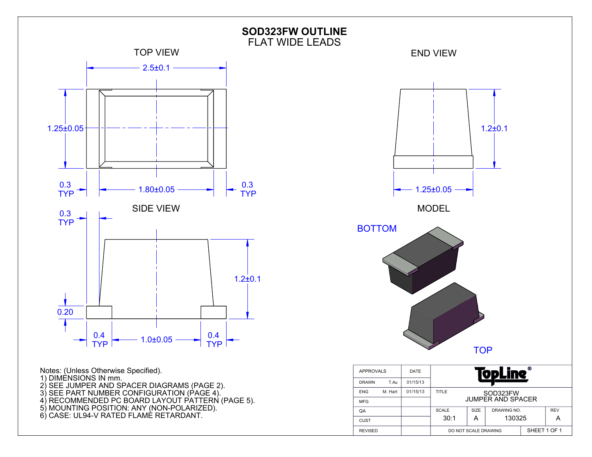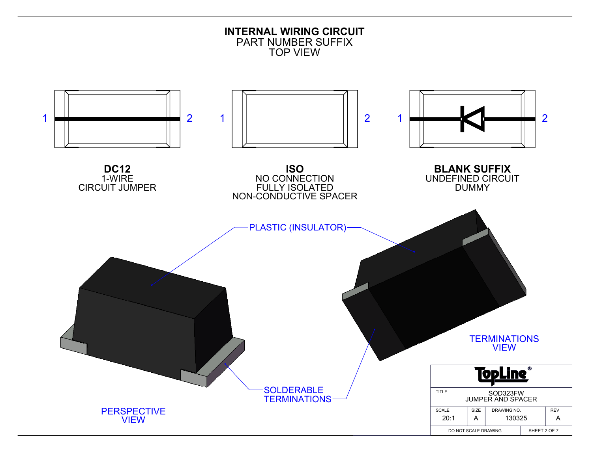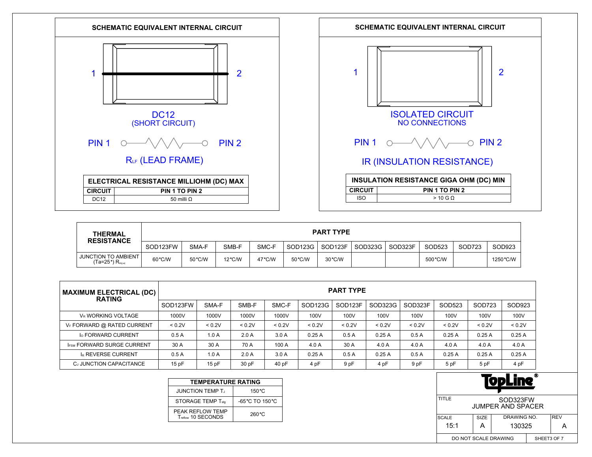



| <b>THERMAL</b><br><b>RESISTANCE</b>                                   | <b>PART TYPE</b> |        |                  |        |                     |         |         |         |          |        |           |  |
|-----------------------------------------------------------------------|------------------|--------|------------------|--------|---------------------|---------|---------|---------|----------|--------|-----------|--|
|                                                                       | SOD123FW         | SMA-F  | SMB-F            | SMC-F  | SOD <sub>123G</sub> | SOD123F | SOD323G | SOD323F | SOD523   | SOD723 | SOD923    |  |
| <b>JUNCTION TO AMBIENT</b><br>(Ta=25 $^{\circ}$ ) R $_{\text{th}(m)}$ | 60 °C/W          | 50°C/W | $12^{\circ}$ C/W | 47°C/W | 50 °C/W             | 30 °C/W |         |         | 500 °C/W |        | 1250 °C/W |  |

| <b>MAXIMUM ELECTRICAL (DC)</b><br><b>RATING</b> | <b>PART TYPE</b> |        |        |        |         |                     |         |         |        |        |        |
|-------------------------------------------------|------------------|--------|--------|--------|---------|---------------------|---------|---------|--------|--------|--------|
|                                                 | SOD123FW         | SMA-F  | SMB-F  | SMC-F  | SOD123G | SOD <sub>123F</sub> | SOD323G | SOD323F | SOD523 | SOD723 | SOD923 |
| VR WORKING VOLTAGE                              | 1000V            | 1000V  | 1000V  | 1000V  | 100V    | 100V                | 100V    | 100V    | 100V   | 100V   | 100V   |
| VF FORWARD @ RATED CURRENT                      | < 0.2V           | < 0.2V | < 0.2V | < 0.2V | < 0.2V  | < 0.2V              | < 0.2V  | < 0.2V  | < 0.2V | < 0.2V | < 0.2V |
| <b>Io FORWARD CURRENT</b>                       | 0.5A             | 1.0A   | 2.0A   | 3.0A   | 0.25A   | 0.5A                | 0.25A   | 0.5A    | 0.25A  | 0.25A  | 0.25A  |
| <b>IFSM FORWARD SURGE CURRENT</b>               | 30 A             | 30 A   | 70 A   | 100 A  | 4.0A    | 30 A                | 4.0A    | 4.0 A   | 4.0 A  | 4.0 A  | 4.0 A  |
| <b>IR REVERSE CURRENT</b>                       | 0.5A             | 1.0A   | 2.0A   | 3.0A   | 0.25A   | 0.5A                | 0.25A   | 0.5A    | 0.25A  | 0.25A  | 0.25A  |
| CJ JUNCTION CAPACITANCE                         | 15 pF            | 15pF   | 30 pF  | 40 pF  | 4 pF    | 9 pF                | 4 pF    | 9 pF    | 5 pF   | 5 pF   | 4 pF   |

| <b>TEMPERATURE RATING</b>              |                                     |  |  |  |  |  |  |  |
|----------------------------------------|-------------------------------------|--|--|--|--|--|--|--|
| <b>JUNCTION TEMP T.</b>                | $150^{\circ}$ C                     |  |  |  |  |  |  |  |
| STORAGE TEMP T <sub>stg</sub>          | $-65^{\circ}$ C TO 150 $^{\circ}$ C |  |  |  |  |  |  |  |
| PEAK REFLOW TEMP<br>Treflow 10 SECONDS | 260 °C                              |  |  |  |  |  |  |  |

| ⋒<br>90 YU                          |                                   |                                      |  |  |  |  |  |  |
|-------------------------------------|-----------------------------------|--------------------------------------|--|--|--|--|--|--|
| TITLE                               |                                   | SOD323FW<br><b>JUMPER AND SPACER</b> |  |  |  |  |  |  |
| <b>SCALE</b>                        | DRAWING NO.<br><b>REV</b><br>SIZE |                                      |  |  |  |  |  |  |
| 15:1                                | А                                 | 130325                               |  |  |  |  |  |  |
| DO NOT SCALE DRAWING<br>SHEET3 OF 7 |                                   |                                      |  |  |  |  |  |  |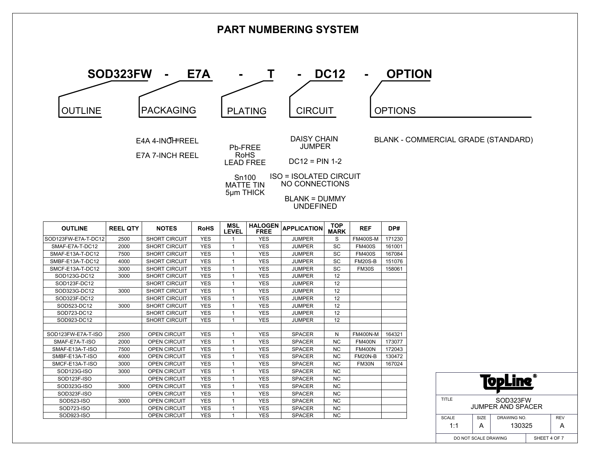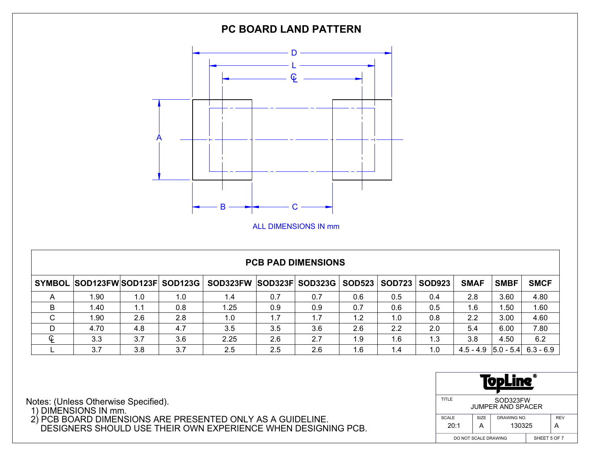

## **PCB PAD DIMENSIONS**

|             | SYMBOL SOD123FWSOD123F SOD123G |     |     | SOD323FW SOD323F SOD323G |     |     | <b>SOD523</b> | <b>SOD723</b> | <b>SOD923</b> | <b>SMAF</b>                         | <b>SMBF</b> | <b>SMCF</b> |
|-------------|--------------------------------|-----|-----|--------------------------|-----|-----|---------------|---------------|---------------|-------------------------------------|-------------|-------------|
|             | 1.90                           | 1.0 | 1.0 | 1.4                      | 0.7 | 0.7 | 0.6           | 0.5           | 0.4           | 2.8                                 | 3.60        | 4.80        |
|             | 1.40                           | 1.1 | 0.8 | i .25                    | 0.9 | 0.9 | 0.7           | 0.6           | 0.5           | 1.6                                 | .50         | 1.60        |
| $\sim$<br>◡ | 1.90                           | 2.6 | 2.8 | 1.0                      | 1.7 | 1.7 | 1.2           | 1.0           | 0.8           | 2.2                                 | 3.00        | 4.60        |
| D           | 4.70                           | 4.8 | 4.7 | 3.5                      | 3.5 | 3.6 | 2.6           | 2.2           | 2.0           | 5.4                                 | 6.00        | 7.80        |
| C           | 3.3                            | 3.7 | 3.6 | 2.25                     | 2.6 | 2.7 | 1.9           | 1.6           | 1.3           | 3.8                                 | 4.50        | 6.2         |
|             | 3.7                            | 3.8 | 3.7 | 2.5                      | 2.5 | 2.6 | 1.6           | 1.4           | 1.0           | $4.5 - 4.9$ $ 5.0 - 5.4 $ 6.3 - 6.9 |             |             |

| ⋒<br>- 7<br>✔        |                                      |  |  |  |  |  |  |  |  |
|----------------------|--------------------------------------|--|--|--|--|--|--|--|--|
| TITLE                | SOD323FW<br><b>JUMPER AND SPACER</b> |  |  |  |  |  |  |  |  |
| <b>SCALE</b>         | SIZE<br>DRAWING NO.<br><b>REV</b>    |  |  |  |  |  |  |  |  |
| 20:1                 | 130325                               |  |  |  |  |  |  |  |  |
| DO NOT SCALE DRAWING | SHEET 5 OF 7                         |  |  |  |  |  |  |  |  |

Notes: (Unless Otherwise Specified).

1) DIMENSIONS IN mm.

 2) PCB BOARD DIMENSIONS ARE PRESENTED ONLY AS A GUIDELINE. DESIGNERS SHOULD USE THEIR OWN EXPERIENCE WHEN DESIGNING PCB.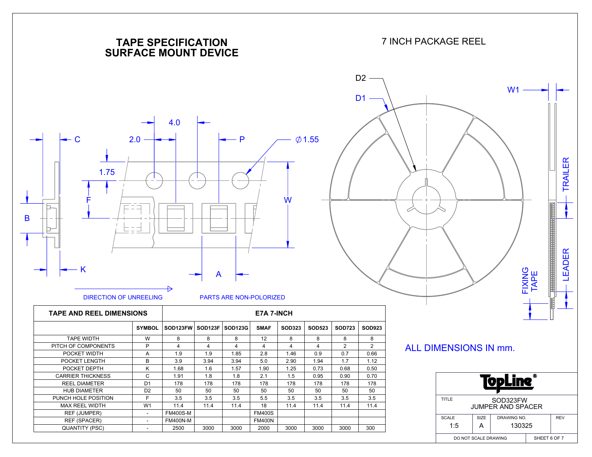